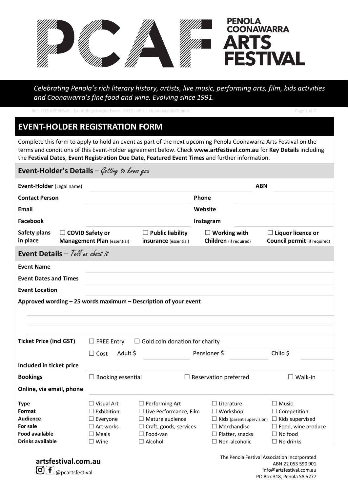

*Celebrating Penola's rich literary history, artists, live music, performing arts, film, kids activities and Coonawarra's fine food and wine. Evolving since 1991.*

|                                                                                                                                                                                                                                                                                                                                         | Ref: FOR APPROVAL - Event Registration Form - 2022 - V0.2 - 16 January 2022.docx |                                                  |                                                                                                |                                                      | Page 1 of 7                                                     |  |  |  |
|-----------------------------------------------------------------------------------------------------------------------------------------------------------------------------------------------------------------------------------------------------------------------------------------------------------------------------------------|----------------------------------------------------------------------------------|--------------------------------------------------|------------------------------------------------------------------------------------------------|------------------------------------------------------|-----------------------------------------------------------------|--|--|--|
| <b>EVENT-HOLDER REGISTRATION FORM</b>                                                                                                                                                                                                                                                                                                   |                                                                                  |                                                  |                                                                                                |                                                      |                                                                 |  |  |  |
| Complete this form to apply to hold an event as part of the next upcoming Penola Coonawarra Arts Festival on the<br>terms and conditions of this Event-holder agreement below. Check www.artfestival.com.au for Key Details including<br>the Festival Dates, Event Registration Due Date, Featured Event Times and further information. |                                                                                  |                                                  |                                                                                                |                                                      |                                                                 |  |  |  |
| <b>Event-Holder's Details</b> $-\mathcal{G}$ <i>etting to know you</i>                                                                                                                                                                                                                                                                  |                                                                                  |                                                  |                                                                                                |                                                      |                                                                 |  |  |  |
| Event-Holder (Legal name)                                                                                                                                                                                                                                                                                                               | <b>ABN</b>                                                                       |                                                  |                                                                                                |                                                      |                                                                 |  |  |  |
| <b>Contact Person</b>                                                                                                                                                                                                                                                                                                                   |                                                                                  |                                                  | Phone                                                                                          |                                                      |                                                                 |  |  |  |
| Email                                                                                                                                                                                                                                                                                                                                   |                                                                                  |                                                  | Website                                                                                        |                                                      |                                                                 |  |  |  |
| <b>Facebook</b>                                                                                                                                                                                                                                                                                                                         |                                                                                  |                                                  |                                                                                                | Instagram                                            |                                                                 |  |  |  |
| <b>Safety plans</b><br>$\Box$ COVID Safety or<br>in place                                                                                                                                                                                                                                                                               | <b>Management Plan (essential)</b>                                               | $\Box$ Public liability<br>insurance (essential) |                                                                                                | $\Box$ Working with<br><b>Children</b> (if required) | $\Box$ Liquor licence or<br><b>Council permit</b> (if required) |  |  |  |
| <b>Event Details</b> $-$ Tell as about it                                                                                                                                                                                                                                                                                               |                                                                                  |                                                  |                                                                                                |                                                      |                                                                 |  |  |  |
| <b>Event Name</b>                                                                                                                                                                                                                                                                                                                       |                                                                                  |                                                  |                                                                                                |                                                      |                                                                 |  |  |  |
| <b>Event Dates and Times</b>                                                                                                                                                                                                                                                                                                            |                                                                                  |                                                  |                                                                                                |                                                      |                                                                 |  |  |  |
| <b>Event Location</b>                                                                                                                                                                                                                                                                                                                   |                                                                                  |                                                  |                                                                                                |                                                      |                                                                 |  |  |  |
| Approved wording - 25 words maximum - Description of your event                                                                                                                                                                                                                                                                         |                                                                                  |                                                  |                                                                                                |                                                      |                                                                 |  |  |  |
|                                                                                                                                                                                                                                                                                                                                         |                                                                                  |                                                  |                                                                                                |                                                      |                                                                 |  |  |  |
|                                                                                                                                                                                                                                                                                                                                         |                                                                                  |                                                  |                                                                                                |                                                      |                                                                 |  |  |  |
| <b>Ticket Price (incl GST)</b>                                                                                                                                                                                                                                                                                                          |                                                                                  | $\Box$ Gold coin donation for charity            |                                                                                                |                                                      |                                                                 |  |  |  |
|                                                                                                                                                                                                                                                                                                                                         | $\Box$ FREE Entry                                                                |                                                  |                                                                                                |                                                      |                                                                 |  |  |  |
|                                                                                                                                                                                                                                                                                                                                         | $\Box$ Cost<br>Adult \$                                                          |                                                  | Pensioner \$                                                                                   |                                                      | Child \$                                                        |  |  |  |
| Included in ticket price                                                                                                                                                                                                                                                                                                                |                                                                                  |                                                  |                                                                                                |                                                      |                                                                 |  |  |  |
| <b>Bookings</b>                                                                                                                                                                                                                                                                                                                         | Booking essential<br>$\Box$ Reservation preferred                                |                                                  | $\square$ Walk-in                                                                              |                                                      |                                                                 |  |  |  |
| Online, via email, phone                                                                                                                                                                                                                                                                                                                |                                                                                  |                                                  |                                                                                                |                                                      |                                                                 |  |  |  |
| <b>Type</b>                                                                                                                                                                                                                                                                                                                             | $\Box$ Visual Art                                                                | $\Box$ Performing Art                            |                                                                                                | $\Box$ Literature                                    | $\Box$ Music                                                    |  |  |  |
| Format                                                                                                                                                                                                                                                                                                                                  | $\sqsupset$ Exhibition                                                           | $\Box$ Live Performance, Film                    |                                                                                                | $\Box$ Workshop                                      | $\Box$ Competition                                              |  |  |  |
| <b>Audience</b>                                                                                                                                                                                                                                                                                                                         | $\Box$ Everyone                                                                  | $\Box$ Mature audience                           |                                                                                                | $\Box$ Kids (parent supervision)                     | $\Box$ Kids supervised                                          |  |  |  |
| For sale                                                                                                                                                                                                                                                                                                                                | $\Box$ Art works                                                                 | $\Box$ Craft, goods, services                    |                                                                                                | $\Box$ Merchandise                                   | $\Box$ Food, wine produce                                       |  |  |  |
| <b>Food available</b>                                                                                                                                                                                                                                                                                                                   | $\Box$ Meals                                                                     | $\Box$ Food-van                                  |                                                                                                | $\Box$ Platter, snacks                               | $\Box$ No food                                                  |  |  |  |
| <b>Drinks available</b>                                                                                                                                                                                                                                                                                                                 | $\Box$ Wine                                                                      | $\Box$ Alcohol                                   |                                                                                                | $\Box$ Non-alcoholic                                 | $\Box$ No drinks                                                |  |  |  |
| artsfestival.com.au<br>f<br>[O] <br>@pcartsfestival                                                                                                                                                                                                                                                                                     |                                                                                  |                                                  | The Penola Festival Association Incorporated<br>ABN 22 053 590 901<br>info@artsfestival.com.au |                                                      |                                                                 |  |  |  |

PO Box 318, Penola SA 5277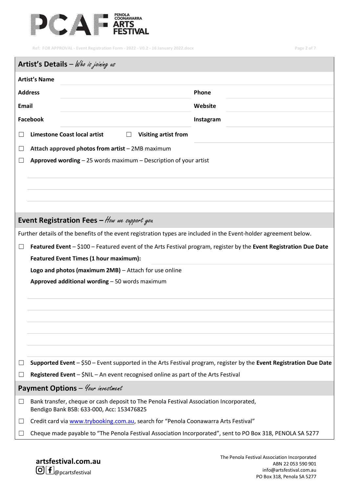

**Ref: FOR APPROVAL - Event Registration Form - 2022 - V0.2 - 16 January 2022.docx Page 2 of 7**

|                | Artist's Details $-$ Who is joining us                                                                                              |           |  |  |  |  |  |
|----------------|-------------------------------------------------------------------------------------------------------------------------------------|-----------|--|--|--|--|--|
|                | <b>Artist's Name</b>                                                                                                                |           |  |  |  |  |  |
| <b>Address</b> |                                                                                                                                     | Phone     |  |  |  |  |  |
| Email          |                                                                                                                                     | Website   |  |  |  |  |  |
| Facebook       |                                                                                                                                     | Instagram |  |  |  |  |  |
|                | <b>Limestone Coast local artist</b><br><b>Visiting artist from</b>                                                                  |           |  |  |  |  |  |
|                | Attach approved photos from artist - 2MB maximum                                                                                    |           |  |  |  |  |  |
|                | Approved wording $-25$ words maximum $-$ Description of your artist                                                                 |           |  |  |  |  |  |
|                |                                                                                                                                     |           |  |  |  |  |  |
|                |                                                                                                                                     |           |  |  |  |  |  |
|                |                                                                                                                                     |           |  |  |  |  |  |
|                |                                                                                                                                     |           |  |  |  |  |  |
|                | Event Registration Fees $-$ How we support you                                                                                      |           |  |  |  |  |  |
|                | Further details of the benefits of the event registration types are included in the Event-holder agreement below.                   |           |  |  |  |  |  |
|                | Featured Event - \$100 - Featured event of the Arts Festival program, register by the Event Registration Due Date                   |           |  |  |  |  |  |
|                | <b>Featured Event Times (1 hour maximum):</b>                                                                                       |           |  |  |  |  |  |
|                | Logo and photos (maximum 2MB) - Attach for use online                                                                               |           |  |  |  |  |  |
|                | Approved additional wording - 50 words maximum                                                                                      |           |  |  |  |  |  |
|                |                                                                                                                                     |           |  |  |  |  |  |
|                |                                                                                                                                     |           |  |  |  |  |  |
|                |                                                                                                                                     |           |  |  |  |  |  |
|                |                                                                                                                                     |           |  |  |  |  |  |
|                |                                                                                                                                     |           |  |  |  |  |  |
|                | Supported Event - \$50 - Event supported in the Arts Festival program, register by the Event Registration Due Date                  |           |  |  |  |  |  |
|                | Registered Event - \$NIL - An event recognised online as part of the Arts Festival                                                  |           |  |  |  |  |  |
|                | Payment Options - Your investment                                                                                                   |           |  |  |  |  |  |
| ш              | Bank transfer, cheque or cash deposit to The Penola Festival Association Incorporated,<br>Bendigo Bank BSB: 633-000, Acc: 153476825 |           |  |  |  |  |  |
| ப              | Credit card via www.trybooking.com.au, search for "Penola Coonawarra Arts Festival"                                                 |           |  |  |  |  |  |
|                | Cheque made payable to "The Penola Festival Association Incorporated", sent to PO Box 318, PENOLA SA 5277                           |           |  |  |  |  |  |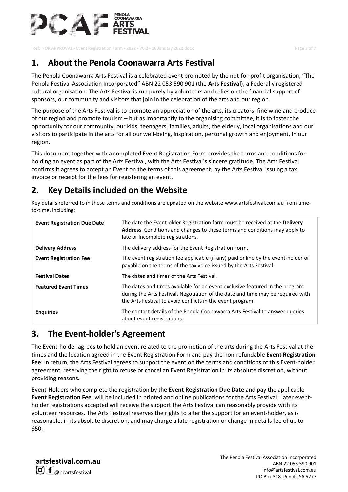

**Ref: FOR APPROVAL - Event Registration Form - 2022 - V0.2 - 16 January 2022.docx Page 3 of 7**

## **1. About the Penola Coonawarra Arts Festival**

The Penola Coonawarra Arts Festival is a celebrated event promoted by the not-for-profit organisation, "The Penola Festival Association Incorporated" ABN 22 053 590 901 (the **Arts Festival**), a Federally registered cultural organisation. The Arts Festival is run purely by volunteers and relies on the financial support of sponsors, our community and visitors that join in the celebration of the arts and our region.

The purpose of the Arts Festival is to promote an appreciation of the arts, its creators, fine wine and produce of our region and promote tourism – but as importantly to the organising committee, it is to foster the opportunity for our community, our kids, teenagers, families, adults, the elderly, local organisations and our visitors to participate in the arts for all our well-being, inspiration, personal growth and enjoyment, in our region.

This document together with a completed Event Registration Form provides the terms and conditions for holding an event as part of the Arts Festival, with the Arts Festival's sincere gratitude. The Arts Festival confirms it agrees to accept an Event on the terms of this agreement, by the Arts Festival issuing a tax invoice or receipt for the fees for registering an event.

## **2. Key Details included on the Website**

Key details referred to in these terms and conditions are updated on the websit[e www.artsfestival.com.au](http://www.artsfestival.com.aum/) from timeto-time, including:

| <b>Event Registration Due Date</b> | The date the Event-older Registration form must be received at the Delivery<br>Address. Conditions and changes to these terms and conditions may apply to<br>late or incomplete registrations.                                |
|------------------------------------|-------------------------------------------------------------------------------------------------------------------------------------------------------------------------------------------------------------------------------|
| <b>Delivery Address</b>            | The delivery address for the Event Registration Form.                                                                                                                                                                         |
| <b>Event Registration Fee</b>      | The event registration fee applicable (if any) paid online by the event-holder or<br>payable on the terms of the tax voice issued by the Arts Festival.                                                                       |
| <b>Festival Dates</b>              | The dates and times of the Arts Festival.                                                                                                                                                                                     |
| <b>Featured Event Times</b>        | The dates and times available for an event exclusive featured in the program<br>during the Arts Festival. Negotiation of the date and time may be required with<br>the Arts Festival to avoid conflicts in the event program. |
| <b>Enguiries</b>                   | The contact details of the Penola Coonawarra Arts Festival to answer queries<br>about event registrations.                                                                                                                    |

### **3. The Event-holder's Agreement**

The Event-holder agrees to hold an event related to the promotion of the arts during the Arts Festival at the times and the location agreed in the Event Registration Form and pay the non-refundable **Event Registration Fee**. In return, the Arts Festival agrees to support the event on the terms and conditions of this Event-holder agreement, reserving the right to refuse or cancel an Event Registration in its absolute discretion, without providing reasons.

Event-Holders who complete the registration by the **Event Registration Due Date** and pay the applicable **Event Registration Fee**, will be included in printed and online publications for the Arts Festival. Later eventholder registrations accepted will receive the support the Arts Festival can reasonably provide with its volunteer resources. The Arts Festival reserves the rights to alter the support for an event-holder, as is reasonable, in its absolute discretion, and may charge a late registration or change in details fee of up to \$50.

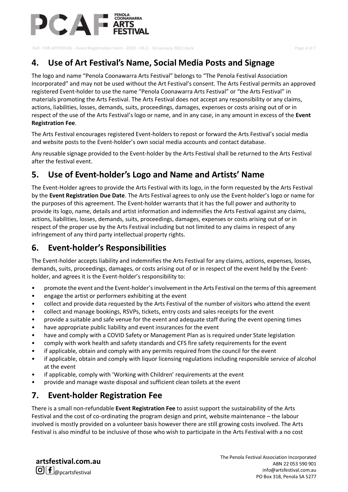

**Ref: FOR APPROVAL - Event Registration Form - 2022 - V0.2 - 16 January 2022.docx Page 4 of 7**

## **4. Use of Art Festival's Name, Social Media Posts and Signage**

The logo and name "Penola Coonawarra Arts Festival" belongs to "The Penola Festival Association Incorporated" and may not be used without the Art Festival's consent. The Arts Festival permits an approved registered Event-holder to use the name "Penola Coonawarra Arts Festival" or "the Arts Festival" in materials promoting the Arts Festival. The Arts Festival does not accept any responsibility or any claims, actions, liabilities, losses, demands, suits, proceedings, damages, expenses or costs arising out of or in respect of the use of the Arts Festival's logo or name, and in any case, in any amount in excess of the **Event Registration Fee**.

The Arts Festival encourages registered Event-holders to repost or forward the Arts Festival's social media and website posts to the Event-holder's own social media accounts and contact database.

Any reusable signage provided to the Event-holder by the Arts Festival shall be returned to the Arts Festival after the festival event.

## **5. Use of Event-holder's Logo and Name and Artists' Name**

The Event-Holder agrees to provide the Arts Festival with its logo, in the form requested by the Arts Festival by the **Event Registration Due Date**. The Arts Festival agrees to only use the Event-holder's logo or name for the purposes of this agreement. The Event-holder warrants that it has the full power and authority to provide its logo, name, details and artist information and indemnifies the Arts Festival against any claims, actions, liabilities, losses, demands, suits, proceedings, damages, expenses or costs arising out of or in respect of the proper use by the Arts Festival including but not limited to any claims in respect of any infringement of any third party intellectual property rights.

## **6. Event-holder's Responsibilities**

The Event-holder accepts liability and indemnifies the Arts Festival for any claims, actions, expenses, losses, demands, suits, proceedings, damages, or costs arising out of or in respect of the event held by the Eventholder, and agrees it is the Event-holder's responsibility to:

- promote the event and the Event-holder's involvement in the Arts Festival on the terms of this agreement
- engage the artist or performers exhibiting at the event
- collect and provide data requested by the Arts Festival of the number of visitors who attend the event
- collect and manage bookings, RSVPs, tickets, entry costs and sales receipts for the event
- provide a suitable and safe venue for the event and adequate staff during the event opening times
- have appropriate public liability and event insurances for the event
- have and comply with a COVID Safety or Management Plan as is required under State legislation
- comply with work health and safety standards and CFS fire safety requirements for the event
- if applicable, obtain and comply with any permits required from the council for the event
- if applicable, obtain and comply with liquor licensing regulations including responsible service of alcohol at the event
- if applicable, comply with 'Working with Children' requirements at the event
- provide and manage waste disposal and sufficient clean toilets at the event

## **7. Event-holder Registration Fee**

There is a small non-refundable **Event Registration Fee** to assist support the sustainability of the Arts Festival and the cost of co-ordinating the program design and print, website maintenance – the labour involved is mostly provided on a volunteer basis however there are still growing costs involved. The Arts Festival is also mindful to be inclusive of those who wish to participate in the Arts Festival with a no cost

**artsfestival.com.au**  $\bigcirc$   $f$   $_{\textcircled{p}$  pcarts festival

The Penola Festival Association Incorporated ABN 22 053 590 901 info@artsfestival.com.au PO Box 318, Penola SA 5277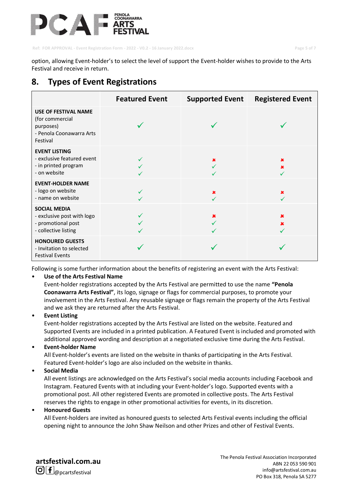

**Ref: FOR APPROVAL - Event Registration Form - 2022 - V0.2 - 16 January 2022.docx Page 5 of 7**

option, allowing Event-holder's to select the level of support the Event-holder wishes to provide to the Arts Festival and receive in return.

### **8. Types of Event Registrations**

|                                                                                                     | <b>Featured Event</b> | <b>Supported Event</b> | <b>Registered Event</b> |
|-----------------------------------------------------------------------------------------------------|-----------------------|------------------------|-------------------------|
| <b>USE OF FESTIVAL NAME</b><br>(for commercial<br>purposes)<br>- Penola Coonawarra Arts<br>Festival |                       |                        |                         |
| <b>EVENT LISTING</b><br>- exclusive featured event<br>- in printed program<br>- on website          |                       | 坐                      | ×                       |
| <b>EVENT-HOLDER NAME</b><br>- logo on website<br>- name on website                                  |                       | x                      | ×                       |
| <b>SOCIAL MEDIA</b><br>- exclusive post with logo<br>- promotional post<br>- collective listing     |                       |                        | ×                       |
| <b>HONOURED GUESTS</b><br>- Invitation to selected<br><b>Festival Events</b>                        |                       |                        |                         |

Following is some further information about the benefits of registering an event with the Arts Festival:

#### • **Use of the Arts Festival Name**

Event-holder registrations accepted by the Arts Festival are permitted to use the name **"Penola Coonawarra Arts Festival"**, its logo, signage or flags for commercial purposes, to promote your involvement in the Arts Festival. Any reusable signage or flags remain the property of the Arts Festival and we ask they are returned after the Arts Festival.

#### • **Event Listing**

Event-holder registrations accepted by the Arts Festival are listed on the website. Featured and Supported Events are included in a printed publication. A Featured Event is included and promoted with additional approved wording and description at a negotiated exclusive time during the Arts Festival.

#### • **Event-holder Name**

All Event-holder's events are listed on the website in thanks of participating in the Arts Festival. Featured Event-holder's logo are also included on the website in thanks.

#### • **Social Media**

All event listings are acknowledged on the Arts Festival's social media accounts including Facebook and Instagram. Featured Events with at including your Event-holder's logo. Supported events with a promotional post. All other registered Events are promoted in collective posts. The Arts Festival reserves the rights to engage in other promotional activities for events, in its discretion.

#### • **Honoured Guests**

All Event-holders are invited as honoured guests to selected Arts Festival events including the official opening night to announce the John Shaw Neilson and other Prizes and other of Festival Events.

**artsfestival.com.au**  $\bigcirc$   $f$   $_{\textcircled{p}$  cartsfestival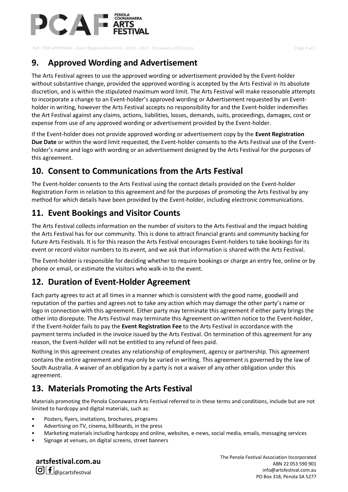

**Ref: FOR APPROVAL - Event Registration Form - 2022 - V0.2 - 16 January 2022.docx Page 6 of 7**

## **9. Approved Wording and Advertisement**

The Arts Festival agrees to use the approved wording or advertisement provided by the Event-holder without substantive change, provided the approved wording is accepted by the Arts Festival in its absolute discretion, and is within the stipulated maximum word limit. The Arts Festival will make reasonable attempts to incorporate a change to an Event-holder's approved wording or Advertisement requested by an Eventholder in writing, however the Arts Festival accepts no responsibility for and the Event-holder indemnifies the Art Festival against any claims, actions, liabilities, losses, demands, suits, proceedings, damages, cost or expense from use of any approved wording or advertisement provided by the Event-holder.

If the Event-holder does not provide approved wording or advertisement copy by the **Event Registration Due Date** or within the word limit requested, the Event-holder consents to the Arts Festival use of the Eventholder's name and logo with wording or an advertisement designed by the Arts Festival for the purposes of this agreement.

### **10. Consent to Communications from the Arts Festival**

The Event-holder consents to the Arts Festival using the contact details provided on the Event-holder Registration Form in relation to this agreement and for the purposes of promoting the Arts Festival by any method for which details have been provided by the Event-holder, including electronic communications.

### **11. Event Bookings and Visitor Counts**

The Arts Festival collects information on the number of visitors to the Arts Festival and the impact holding the Arts Festival has for our community. This is done to attract financial grants and community backing for future Arts Festivals. It is for this reason the Arts Festival encourages Event-holders to take bookings for its event or record visitor numbers to its event, and we ask that information is shared with the Arts Festival.

The Event-holder is responsible for deciding whether to require bookings or charge an entry fee, online or by phone or email, or estimate the visitors who walk-in to the event.

### **12. Duration of Event-Holder Agreement**

Each party agrees to act at all times in a manner which is consistent with the good name, goodwill and reputation of the parties and agrees not to take any action which may damage the other party's name or logo in connection with this agreement. Either party may terminate this agreement if either party brings the other into disrepute. The Arts Festival may terminate this Agreement on written notice to the Event-holder, if the Event-holder fails to pay the **Event Registration Fee** to the Arts Festival in accordance with the payment terms included in the invoice issued by the Arts Festival. On termination of this agreement for any reason, the Event-holder will not be entitled to any refund of fees paid.

Nothing in this agreement creates any relationship of employment, agency or partnership. This agreement contains the entire agreement and may only be varied in writing. This agreement is governed by the law of South Australia. A waiver of an obligation by a party is not a waiver of any other obligation under this agreement.

## **13. Materials Promoting the Arts Festival**

Materials promoting the Penola Coonawarra Arts Festival referred to in these terms and conditions, include but are not limited to hardcopy and digital materials, such as:

- Posters, flyers, invitations, brochures, programs
- Advertising on TV, cinema, billboards, in the press
- Marketing materials including hardcopy and online, websites, e-news, social media, emails, messaging services
- Signage at venues, on digital screens, street banners

**artsfestival.com.au**  $\bigcirc$   $f$   $_{\textcircled{p}$  pcarts festival

The Penola Festival Association Incorporated ABN 22 053 590 901 info@artsfestival.com.au PO Box 318, Penola SA 5277